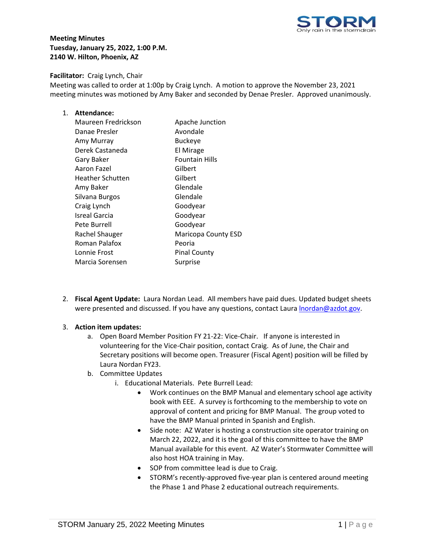

**Meeting Minutes Tuesday, January 25, 2022, 1:00 P.M. 2140 W. Hilton, Phoenix, AZ**

## **Facilitator:** Craig Lynch, Chair

Meeting was called to order at 1:00p by Craig Lynch. A motion to approve the November 23, 2021 meeting minutes was motioned by Amy Baker and seconded by Denae Presler. Approved unanimously.

## 1. **Attendance:**

| Apache Junction            |
|----------------------------|
| Avondale                   |
| <b>Buckeye</b>             |
| El Mirage                  |
| <b>Fountain Hills</b>      |
| Gilbert                    |
| Gilbert                    |
| Glendale                   |
| Glendale                   |
| Goodyear                   |
| Goodyear                   |
| Goodyear                   |
| <b>Maricopa County ESD</b> |
| Peoria                     |
| <b>Pinal County</b>        |
| Surprise                   |
|                            |

2. **Fiscal Agent Update:** Laura Nordan Lead. All members have paid dues. Updated budget sheets were presented and discussed. If you have any questions, contact Laura *Inordan@azdot.gov.* 

## 3. **Action item updates:**

- a. Open Board Member Position FY 21-22: Vice-Chair. If anyone is interested in volunteering for the Vice-Chair position, contact Craig. As of June, the Chair and Secretary positions will become open. Treasurer (Fiscal Agent) position will be filled by Laura Nordan FY23.
- b. Committee Updates
	- i. Educational Materials. Pete Burrell Lead:
		- Work continues on the BMP Manual and elementary school age activity book with EEE. A survey is forthcoming to the membership to vote on approval of content and pricing for BMP Manual. The group voted to have the BMP Manual printed in Spanish and English.
		- Side note: AZ Water is hosting a construction site operator training on March 22, 2022, and it is the goal of this committee to have the BMP Manual available for this event. AZ Water's Stormwater Committee will also host HOA training in May.
		- SOP from committee lead is due to Craig.
		- STORM's recently-approved five-year plan is centered around meeting the Phase 1 and Phase 2 educational outreach requirements.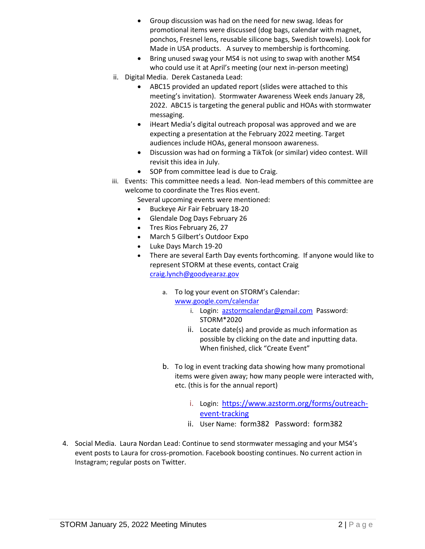- Group discussion was had on the need for new swag. Ideas for promotional items were discussed (dog bags, calendar with magnet, ponchos, Fresnel lens, reusable silicone bags, Swedish towels). Look for Made in USA products. A survey to membership is forthcoming.
- Bring unused swag your MS4 is not using to swap with another MS4 who could use it at April's meeting (our next in-person meeting)
- ii. Digital Media. Derek Castaneda Lead:
	- ABC15 provided an updated report (slides were attached to this meeting's invitation). Stormwater Awareness Week ends January 28, 2022. ABC15 is targeting the general public and HOAs with stormwater messaging.
	- iHeart Media's digital outreach proposal was approved and we are expecting a presentation at the February 2022 meeting. Target audiences include HOAs, general monsoon awareness.
	- Discussion was had on forming a TikTok (or similar) video contest. Will revisit this idea in July.
	- SOP from committee lead is due to Craig.
- iii. Events: This committee needs a lead. Non-lead members of this committee are welcome to coordinate the Tres Rios event.

Several upcoming events were mentioned:

- Buckeye Air Fair February 18-20
- Glendale Dog Days February 26
- Tres Rios February 26, 27
- March 5 Gilbert's Outdoor Expo
- Luke Days March 19-20
- There are several Earth Day events forthcoming. If anyone would like to represent STORM at these events, contact Craig [craig.lynch@goodyearaz.gov](mailto:craig.lynch@goodyearaz.gov)
	- a. To log your event on STORM's Calendar:
		- [www.google.com/calendar](http://www.google.com/calendar)
			- i. Login: [azstormcalendar@gmail.com](mailto:azstormcalendar@gmail.com) Password: STORM\*2020
			- ii. Locate date(s) and provide as much information as possible by clicking on the date and inputting data. When finished, click "Create Event"
	- b. To log in event tracking data showing how many promotional items were given away; how many people were interacted with, etc. (this is for the annual report)
		- i. Login: [https://www.azstorm.org/forms/outreach](https://www.azstorm.org/forms/outreach-event-tracking)[event-tracking](https://www.azstorm.org/forms/outreach-event-tracking)
		- ii. User Name: form382 Password: form382
- 4. Social Media. Laura Nordan Lead: Continue to send stormwater messaging and your MS4's event posts to Laura for cross-promotion. Facebook boosting continues. No current action in Instagram; regular posts on Twitter.